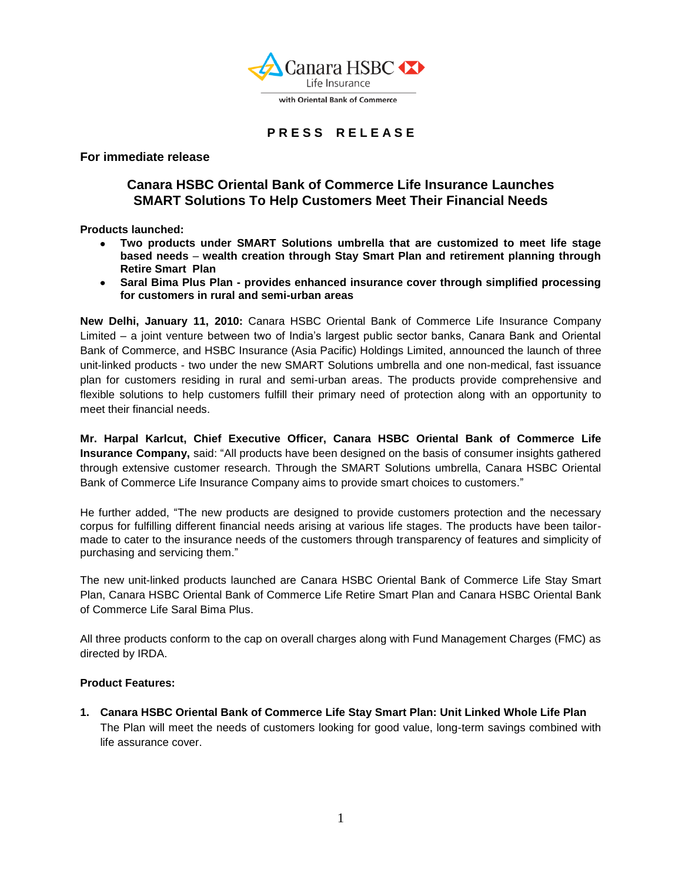

## **P R E S S R E L E A S E**

**For immediate release**

# **Canara HSBC Oriental Bank of Commerce Life Insurance Launches SMART Solutions To Help Customers Meet Their Financial Needs**

**Products launched:**

- **Two products under SMART Solutions umbrella that are customized to meet life stage based needs** – **wealth creation through Stay Smart Plan and retirement planning through Retire Smart Plan**
- **Saral Bima Plus Plan - provides enhanced insurance cover through simplified processing for customers in rural and semi-urban areas**

**New Delhi, January 11, 2010:** Canara HSBC Oriental Bank of Commerce Life Insurance Company Limited – a joint venture between two of India"s largest public sector banks, Canara Bank and Oriental Bank of Commerce, and HSBC Insurance (Asia Pacific) Holdings Limited, announced the launch of three unit-linked products - two under the new SMART Solutions umbrella and one non-medical, fast issuance plan for customers residing in rural and semi-urban areas. The products provide comprehensive and flexible solutions to help customers fulfill their primary need of protection along with an opportunity to meet their financial needs.

**Mr. Harpal Karlcut, Chief Executive Officer, Canara HSBC Oriental Bank of Commerce Life Insurance Company,** said: "All products have been designed on the basis of consumer insights gathered through extensive customer research. Through the SMART Solutions umbrella, Canara HSBC Oriental Bank of Commerce Life Insurance Company aims to provide smart choices to customers."

He further added, "The new products are designed to provide customers protection and the necessary corpus for fulfilling different financial needs arising at various life stages. The products have been tailormade to cater to the insurance needs of the customers through transparency of features and simplicity of purchasing and servicing them."

The new unit-linked products launched are Canara HSBC Oriental Bank of Commerce Life Stay Smart Plan, Canara HSBC Oriental Bank of Commerce Life Retire Smart Plan and Canara HSBC Oriental Bank of Commerce Life Saral Bima Plus.

All three products conform to the cap on overall charges along with Fund Management Charges (FMC) as directed by IRDA.

#### **Product Features:**

**1. Canara HSBC Oriental Bank of Commerce Life Stay Smart Plan: Unit Linked Whole Life Plan** The Plan will meet the needs of customers looking for good value, long-term savings combined with life assurance cover.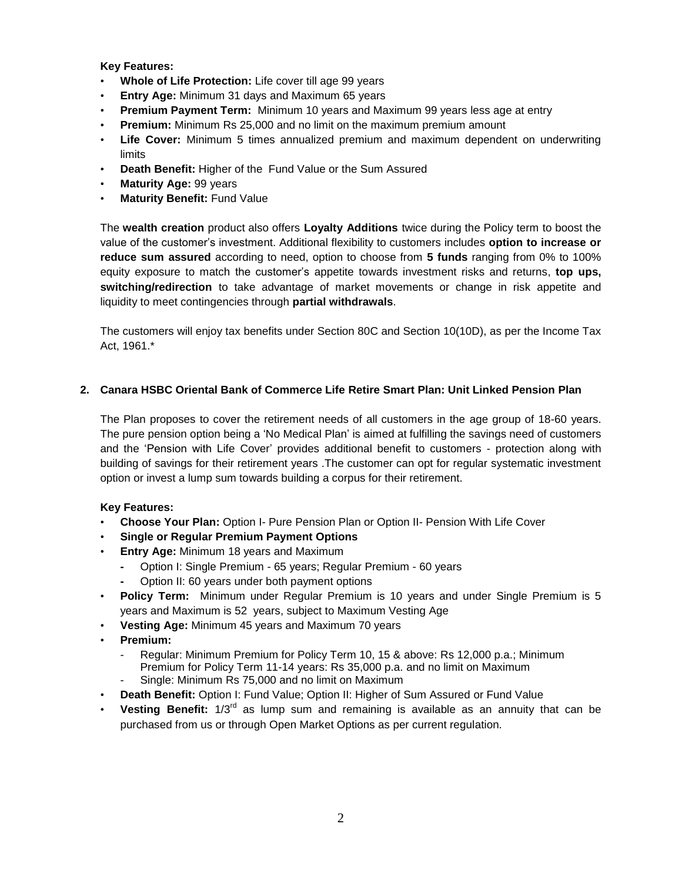**Key Features:**

- **Whole of Life Protection:** Life cover till age 99 years
- **Entry Age:** Minimum 31 days and Maximum 65 years
- **Premium Payment Term:** Minimum 10 years and Maximum 99 years less age at entry
- **Premium:** Minimum Rs 25,000 and no limit on the maximum premium amount
- **Life Cover:** Minimum 5 times annualized premium and maximum dependent on underwriting limits
- **Death Benefit:** Higher of the Fund Value or the Sum Assured
- **Maturity Age:** 99 years
- **Maturity Benefit:** Fund Value

The **wealth creation** product also offers **Loyalty Additions** twice during the Policy term to boost the value of the customer"s investment. Additional flexibility to customers includes **option to increase or reduce sum assured** according to need, option to choose from **5 funds** ranging from 0% to 100% equity exposure to match the customer"s appetite towards investment risks and returns, **top ups, switching/redirection** to take advantage of market movements or change in risk appetite and liquidity to meet contingencies through **partial withdrawals**.

The customers will enjoy tax benefits under Section 80C and Section 10(10D), as per the Income Tax Act, 1961.\*

### **2. Canara HSBC Oriental Bank of Commerce Life Retire Smart Plan: Unit Linked Pension Plan**

The Plan proposes to cover the retirement needs of all customers in the age group of 18-60 years. The pure pension option being a "No Medical Plan" is aimed at fulfilling the savings need of customers and the "Pension with Life Cover" provides additional benefit to customers - protection along with building of savings for their retirement years .The customer can opt for regular systematic investment option or invest a lump sum towards building a corpus for their retirement.

### **Key Features:**

- **Choose Your Plan:** Option I- Pure Pension Plan or Option II- Pension With Life Cover
- **Single or Regular Premium Payment Options**
- **Entry Age:** Minimum 18 years and Maximum
	- **-** Option I: Single Premium 65 years; Regular Premium 60 years
	- **-** Option II: 60 years under both payment options
- **Policy Term:** Minimum under Regular Premium is 10 years and under Single Premium is 5 years and Maximum is 52 years, subject to Maximum Vesting Age
- **Vesting Age:** Minimum 45 years and Maximum 70 years
- **Premium:** 
	- Regular: Minimum Premium for Policy Term 10, 15 & above: Rs 12,000 p.a.; Minimum Premium for Policy Term 11-14 years: Rs 35,000 p.a. and no limit on Maximum Single: Minimum Rs 75,000 and no limit on Maximum
- **Death Benefit:** Option I: Fund Value; Option II: Higher of Sum Assured or Fund Value
- **Vesting Benefit:** 1/3rd as lump sum and remaining is available as an annuity that can be purchased from us or through Open Market Options as per current regulation.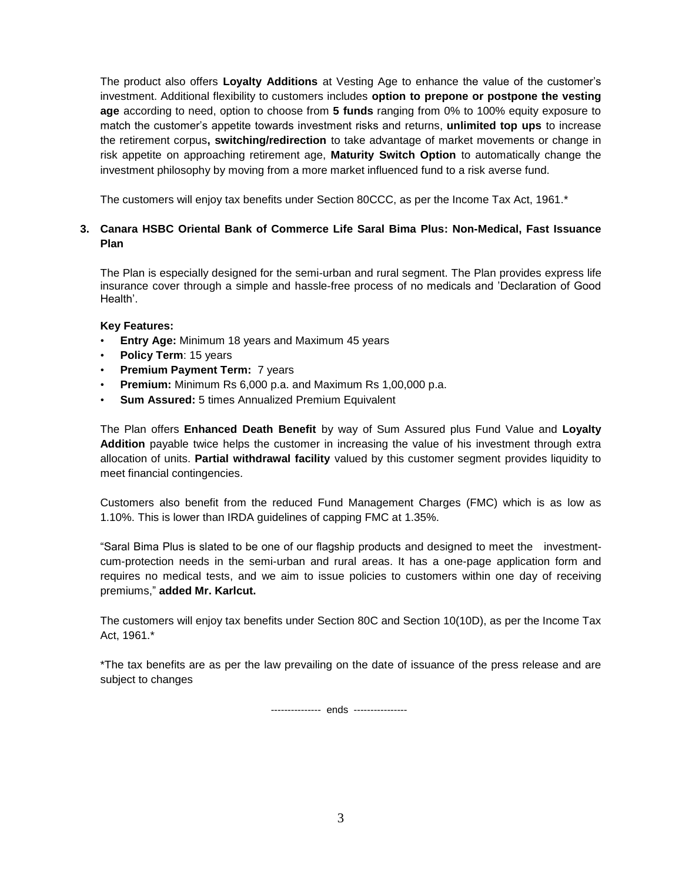The product also offers **Loyalty Additions** at Vesting Age to enhance the value of the customer"s investment. Additional flexibility to customers includes **option to prepone or postpone the vesting age** according to need, option to choose from **5 funds** ranging from 0% to 100% equity exposure to match the customer"s appetite towards investment risks and returns, **unlimited top ups** to increase the retirement corpus**, switching/redirection** to take advantage of market movements or change in risk appetite on approaching retirement age, **Maturity Switch Option** to automatically change the investment philosophy by moving from a more market influenced fund to a risk averse fund.

The customers will enjoy tax benefits under Section 80CCC, as per the Income Tax Act, 1961.\*

## **3. Canara HSBC Oriental Bank of Commerce Life Saral Bima Plus: Non-Medical, Fast Issuance Plan**

The Plan is especially designed for the semi-urban and rural segment. The Plan provides express life insurance cover through a simple and hassle-free process of no medicals and "Declaration of Good Health'.

### **Key Features:**

- **Entry Age:** Minimum 18 years and Maximum 45 years
- **Policy Term**: 15 years
- **Premium Payment Term: 7 years**
- **Premium:** Minimum Rs 6,000 p.a. and Maximum Rs 1,00,000 p.a.
- **Sum Assured:** 5 times Annualized Premium Equivalent

The Plan offers **Enhanced Death Benefit** by way of Sum Assured plus Fund Value and **Loyalty Addition** payable twice helps the customer in increasing the value of his investment through extra allocation of units. **Partial withdrawal facility** valued by this customer segment provides liquidity to meet financial contingencies.

Customers also benefit from the reduced Fund Management Charges (FMC) which is as low as 1.10%. This is lower than IRDA guidelines of capping FMC at 1.35%.

"Saral Bima Plus is slated to be one of our flagship products and designed to meet the investmentcum-protection needs in the semi-urban and rural areas. It has a one-page application form and requires no medical tests, and we aim to issue policies to customers within one day of receiving premiums," **added Mr. Karlcut.**

The customers will enjoy tax benefits under Section 80C and Section 10(10D), as per the Income Tax Act, 1961.\*

\*The tax benefits are as per the law prevailing on the date of issuance of the press release and are subject to changes

--------------- ends ----------------